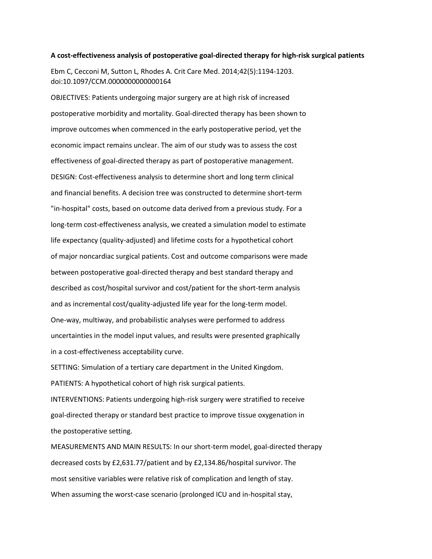## **A cost-effectiveness analysis of postoperative goal-directed therapy for high-risk surgical patients**

Ebm C, Cecconi M, Sutton L, Rhodes A. Crit Care Med. 2014;42(5):1194-1203. doi:10.1097/CCM.0000000000000164

OBJECTIVES: Patients undergoing major surgery are at high risk of increased postoperative morbidity and mortality. Goal-directed therapy has been shown to improve outcomes when commenced in the early postoperative period, yet the economic impact remains unclear. The aim of our study was to assess the cost effectiveness of goal-directed therapy as part of postoperative management. DESIGN: Cost-effectiveness analysis to determine short and long term clinical and financial benefits. A decision tree was constructed to determine short-term "in-hospital" costs, based on outcome data derived from a previous study. For a long-term cost-effectiveness analysis, we created a simulation model to estimate life expectancy (quality-adjusted) and lifetime costs for a hypothetical cohort of major noncardiac surgical patients. Cost and outcome comparisons were made between postoperative goal-directed therapy and best standard therapy and described as cost/hospital survivor and cost/patient for the short-term analysis and as incremental cost/quality-adjusted life year for the long-term model. One-way, multiway, and probabilistic analyses were performed to address uncertainties in the model input values, and results were presented graphically in a cost-effectiveness acceptability curve.

SETTING: Simulation of a tertiary care department in the United Kingdom.

PATIENTS: A hypothetical cohort of high risk surgical patients.

INTERVENTIONS: Patients undergoing high-risk surgery were stratified to receive goal-directed therapy or standard best practice to improve tissue oxygenation in the postoperative setting.

MEASUREMENTS AND MAIN RESULTS: In our short-term model, goal-directed therapy decreased costs by £2,631.77/patient and by £2,134.86/hospital survivor. The most sensitive variables were relative risk of complication and length of stay. When assuming the worst-case scenario (prolonged ICU and in-hospital stay,